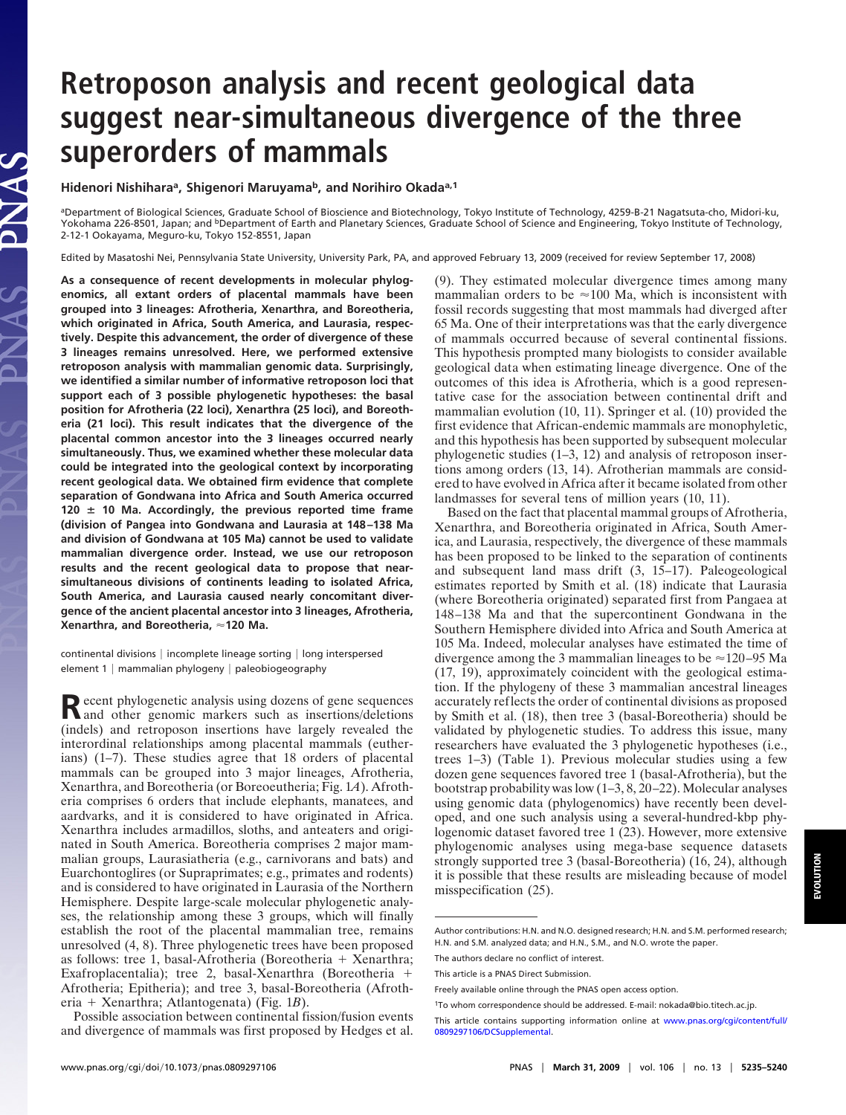# **Retroposon analysis and recent geological data suggest near-simultaneous divergence of the three superorders of mammals**

**Hidenori Nishiharaa, Shigenori Maruyamab, and Norihiro Okadaa,1**

aDepartment of Biological Sciences, Graduate School of Bioscience and Biotechnology, Tokyo Institute of Technology, 4259-B-21 Nagatsuta-cho, Midori-ku, Yokohama 226-8501, Japan; and <sup>b</sup>Department of Earth and Planetary Sciences, Graduate School of Science and Engineering, Tokyo Institute of Technology, 2-12-1 Ookayama, Meguro-ku, Tokyo 152-8551, Japan

Edited by Masatoshi Nei, Pennsylvania State University, University Park, PA, and approved February 13, 2009 (received for review September 17, 2008)

**As a consequence of recent developments in molecular phylogenomics, all extant orders of placental mammals have been grouped into 3 lineages: Afrotheria, Xenarthra, and Boreotheria, which originated in Africa, South America, and Laurasia, respectively. Despite this advancement, the order of divergence of these 3 lineages remains unresolved. Here, we performed extensive retroposon analysis with mammalian genomic data. Surprisingly, we identified a similar number of informative retroposon loci that support each of 3 possible phylogenetic hypotheses: the basal position for Afrotheria (22 loci), Xenarthra (25 loci), and Boreotheria (21 loci). This result indicates that the divergence of the placental common ancestor into the 3 lineages occurred nearly simultaneously. Thus, we examined whether these molecular data could be integrated into the geological context by incorporating recent geological data. We obtained firm evidence that complete separation of Gondwana into Africa and South America occurred 120 10 Ma. Accordingly, the previous reported time frame (division of Pangea into Gondwana and Laurasia at 148 –138 Ma and division of Gondwana at 105 Ma) cannot be used to validate mammalian divergence order. Instead, we use our retroposon results and the recent geological data to propose that nearsimultaneous divisions of continents leading to isolated Africa, South America, and Laurasia caused nearly concomitant divergence of the ancient placental ancestor into 3 lineages, Afrotheria, Xenarthra, and Boreotheria, 120 Ma.**

continental divisions | incomplete lineage sorting | long interspersed element  $1 |$  mammalian phylogeny  $|$  paleobiogeography

Recent phylogenetic analysis using dozens of gene sequences<br>and other genomic markers such as insertions/deletions (indels) and retroposon insertions have largely revealed the interordinal relationships among placental mammals (eutherians) (1–7). These studies agree that 18 orders of placental mammals can be grouped into 3 major lineages, Afrotheria, Xenarthra, and Boreotheria (or Boreoeutheria; Fig. 1*A*). Afrotheria comprises 6 orders that include elephants, manatees, and aardvarks, and it is considered to have originated in Africa. Xenarthra includes armadillos, sloths, and anteaters and originated in South America. Boreotheria comprises 2 major mammalian groups, Laurasiatheria (e.g., carnivorans and bats) and Euarchontoglires (or Supraprimates; e.g., primates and rodents) and is considered to have originated in Laurasia of the Northern Hemisphere. Despite large-scale molecular phylogenetic analyses, the relationship among these 3 groups, which will finally establish the root of the placental mammalian tree, remains unresolved (4, 8). Three phylogenetic trees have been proposed as follows: tree 1, basal-Afrotheria (Boreotheria + Xenarthra; Exafroplacentalia); tree 2, basal-Xenarthra (Boreotheria + Afrotheria; Epitheria); and tree 3, basal-Boreotheria (Afrotheria - Xenarthra; Atlantogenata) (Fig. 1*B*).

Possible association between continental fission/fusion events and divergence of mammals was first proposed by Hedges et al. (9). They estimated molecular divergence times among many mammalian orders to be  $\approx$  100 Ma, which is inconsistent with fossil records suggesting that most mammals had diverged after 65 Ma. One of their interpretations was that the early divergence of mammals occurred because of several continental fissions. This hypothesis prompted many biologists to consider available geological data when estimating lineage divergence. One of the outcomes of this idea is Afrotheria, which is a good representative case for the association between continental drift and mammalian evolution (10, 11). Springer et al. (10) provided the first evidence that African-endemic mammals are monophyletic, and this hypothesis has been supported by subsequent molecular phylogenetic studies (1–3, 12) and analysis of retroposon insertions among orders (13, 14). Afrotherian mammals are considered to have evolved in Africa after it became isolated from other landmasses for several tens of million years (10, 11).

Based on the fact that placental mammal groups of Afrotheria, Xenarthra, and Boreotheria originated in Africa, South America, and Laurasia, respectively, the divergence of these mammals has been proposed to be linked to the separation of continents and subsequent land mass drift (3, 15–17). Paleogeological estimates reported by Smith et al. (18) indicate that Laurasia (where Boreotheria originated) separated first from Pangaea at 148–138 Ma and that the supercontinent Gondwana in the Southern Hemisphere divided into Africa and South America at 105 Ma. Indeed, molecular analyses have estimated the time of divergence among the 3 mammalian lineages to be  $\approx$  120–95 Ma (17, 19), approximately coincident with the geological estimation. If the phylogeny of these 3 mammalian ancestral lineages accurately reflects the order of continental divisions as proposed by Smith et al. (18), then tree 3 (basal-Boreotheria) should be validated by phylogenetic studies. To address this issue, many researchers have evaluated the 3 phylogenetic hypotheses (i.e., trees 1–3) (Table 1). Previous molecular studies using a few dozen gene sequences favored tree 1 (basal-Afrotheria), but the bootstrap probability was low (1–3, 8, 20–22). Molecular analyses using genomic data (phylogenomics) have recently been developed, and one such analysis using a several-hundred-kbp phylogenomic dataset favored tree 1 (23). However, more extensive phylogenomic analyses using mega-base sequence datasets strongly supported tree 3 (basal-Boreotheria) (16, 24), although it is possible that these results are misleading because of model misspecification (25).

Author contributions: H.N. and N.O. designed research; H.N. and S.M. performed research; H.N. and S.M. analyzed data; and H.N., S.M., and N.O. wrote the paper.

The authors declare no conflict of interest.

This article is a PNAS Direct Submission.

Freely available online through the PNAS open access option.

<sup>1</sup>To whom correspondence should be addressed. E-mail: nokada@bio.titech.ac.jp.

This article contains supporting information online at [www.pnas.org/cgi/content/full/](http://www.pnas.org/cgi/content/full/0809297106/DCSupplemental) [0809297106/DCSupplemental.](http://www.pnas.org/cgi/content/full/0809297106/DCSupplemental)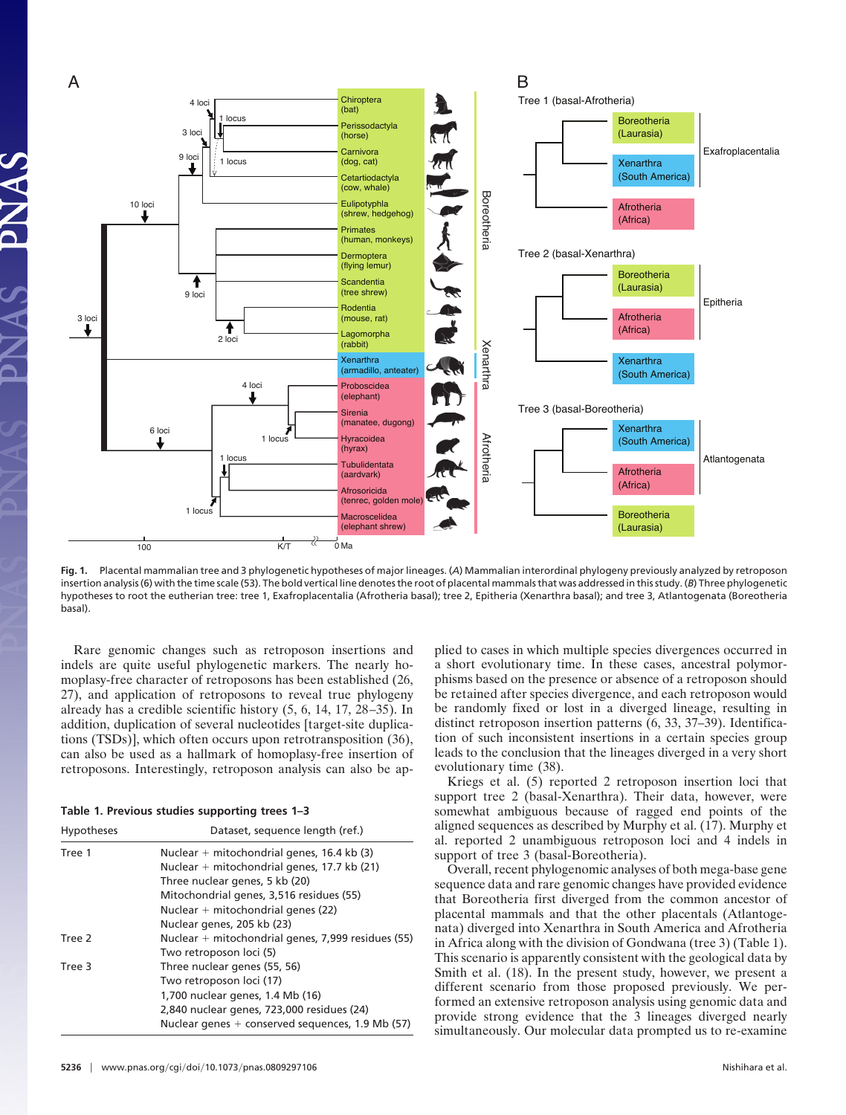

**Fig. 1.** Placental mammalian tree and 3 phylogenetic hypotheses of major lineages. (*A*) Mammalian interordinal phylogeny previously analyzed by retroposon insertion analysis (6) with the time scale (53). The bold vertical line denotes the root of placental mammals that was addressed in this study. (*B*) Three phylogenetic hypotheses to root the eutherian tree: tree 1, Exafroplacentalia (Afrotheria basal); tree 2, Epitheria (Xenarthra basal); and tree 3, Atlantogenata (Boreotheria basal).

Rare genomic changes such as retroposon insertions and indels are quite useful phylogenetic markers. The nearly homoplasy-free character of retroposons has been established (26, 27), and application of retroposons to reveal true phylogeny already has a credible scientific history (5, 6, 14, 17, 28–35). In addition, duplication of several nucleotides [target-site duplications (TSDs)], which often occurs upon retrotransposition (36), can also be used as a hallmark of homoplasy-free insertion of retroposons. Interestingly, retroposon analysis can also be ap-

|  |  |  |  | Table 1. Previous studies supporting trees 1-3 |  |  |
|--|--|--|--|------------------------------------------------|--|--|
|--|--|--|--|------------------------------------------------|--|--|

| Hypotheses | Dataset, sequence length (ref.)                    |  |  |  |
|------------|----------------------------------------------------|--|--|--|
| Tree 1     | Nuclear $+$ mitochondrial genes, 16.4 kb (3)       |  |  |  |
|            | Nuclear $+$ mitochondrial genes, 17.7 kb (21)      |  |  |  |
|            | Three nuclear genes, 5 kb (20)                     |  |  |  |
|            | Mitochondrial genes, 3,516 residues (55)           |  |  |  |
|            | Nuclear $+$ mitochondrial genes (22)               |  |  |  |
|            | Nuclear genes, 205 kb (23)                         |  |  |  |
| Tree 2     | Nuclear + mitochondrial genes, 7,999 residues (55) |  |  |  |
|            | Two retroposon loci (5)                            |  |  |  |
| Tree 3     | Three nuclear genes (55, 56)                       |  |  |  |
|            | Two retroposon loci (17)                           |  |  |  |
|            | 1,700 nuclear genes, 1.4 Mb (16)                   |  |  |  |
|            | 2,840 nuclear genes, 723,000 residues (24)         |  |  |  |
|            | Nuclear genes $+$ conserved sequences, 1.9 Mb (57) |  |  |  |

**5236** | www.pnas.org/cgi/doi/10.1073/pnas.0809297106 Nishihara et al.

plied to cases in which multiple species divergences occurred in a short evolutionary time. In these cases, ancestral polymorphisms based on the presence or absence of a retroposon should be retained after species divergence, and each retroposon would be randomly fixed or lost in a diverged lineage, resulting in distinct retroposon insertion patterns (6, 33, 37–39). Identification of such inconsistent insertions in a certain species group leads to the conclusion that the lineages diverged in a very short evolutionary time (38).

Kriegs et al. (5) reported 2 retroposon insertion loci that support tree 2 (basal-Xenarthra). Their data, however, were somewhat ambiguous because of ragged end points of the aligned sequences as described by Murphy et al. (17). Murphy et al. reported 2 unambiguous retroposon loci and 4 indels in support of tree 3 (basal-Boreotheria).

Overall, recent phylogenomic analyses of both mega-base gene sequence data and rare genomic changes have provided evidence that Boreotheria first diverged from the common ancestor of placental mammals and that the other placentals (Atlantogenata) diverged into Xenarthra in South America and Afrotheria in Africa along with the division of Gondwana (tree 3) (Table 1). This scenario is apparently consistent with the geological data by Smith et al. (18). In the present study, however, we present a different scenario from those proposed previously. We performed an extensive retroposon analysis using genomic data and provide strong evidence that the 3 lineages diverged nearly simultaneously. Our molecular data prompted us to re-examine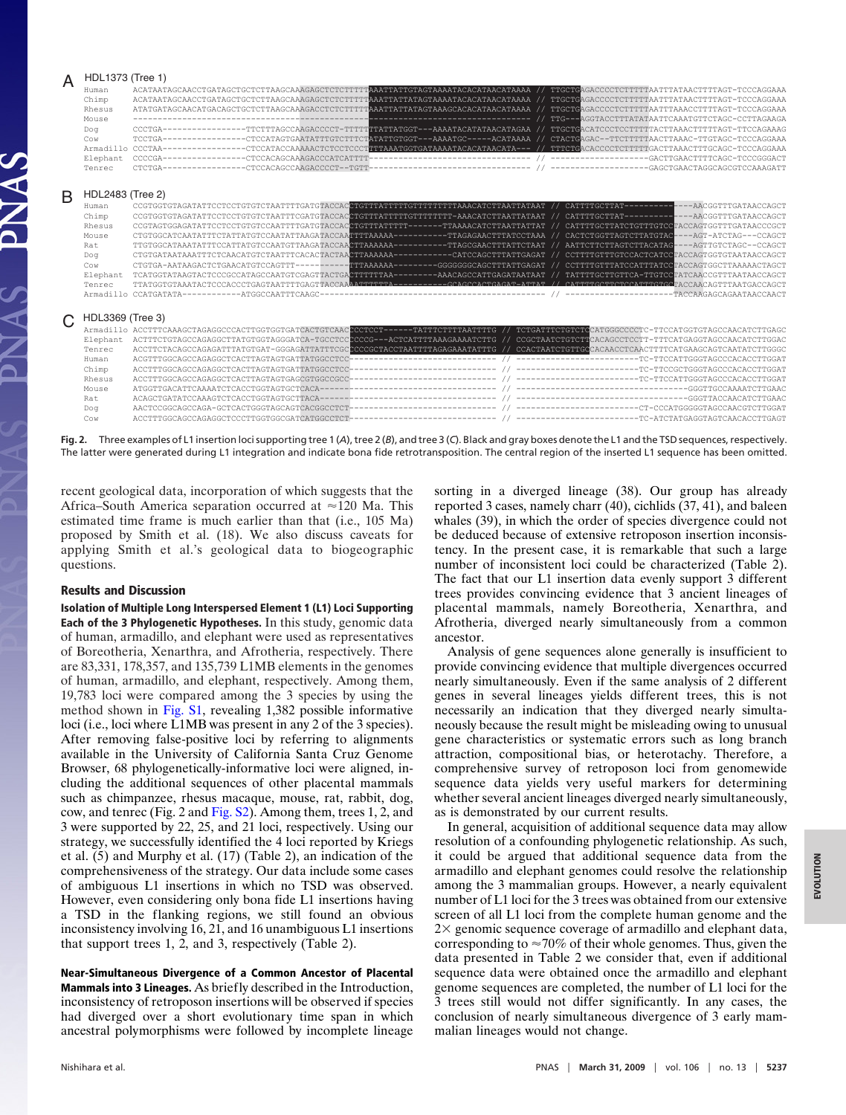|   | HDL1373 (Tree 1)<br>Human<br>Chimp<br>Rhesus<br>Mouse | ACATAATAGCAACCTGATAGCTGCTCTTAAGCAAAGAGCTCTCTTTTTAAGCTCTCTTTTTAAATTAGTAAAATACACATAACATAAAA // TTGCTGAGACCCCTCTTTTTAATTTATAACTTTTAGT-TCCCAGGAAA<br>ACATAATAGCAACCTGATAGCTGCTCTTAAGCAAAGAGCTCTCTTTTTAAATTATTATAGTAAAATACACATAAAAA // TTGCTGAGACCCCTCTTTTTAATTTATAACTTTTAGT-TCCCAGGAAA<br>ATATGATAGCAACATGACAGCTGCTCTTAAGCAAAGACCTCTTTTTAAGCAATTATTATAGTAAAGCACACATAACATAAAA // TTGCTGAGACCCCTCTTTTTAAATTTAAACCTTTTAGT-TCCCAGGAAA | ------------------------------ | TTG---AGGTACCTTTATATAATTCAAATGTTCTAGC-CCTTAGAAGA         |  |
|---|-------------------------------------------------------|-------------------------------------------------------------------------------------------------------------------------------------------------------------------------------------------------------------------------------------------------------------------------------------------------------------------------------------------------------------------------------------------------------------------------------|--------------------------------|----------------------------------------------------------|--|
|   | Doa                                                   | CCCTGA--------------TTCTTTAGCCAAGACCCCT-TTTTATTATTATTATTATAGCATATAACATAGAA // TTGCTGACATCCCTCCTTTTTAACTTATAACTTTTAGT-TTCCAGAAAG                                                                                                                                                                                                                                                                                               |                                |                                                          |  |
|   | Cow                                                   | TCCTGA--------------CTCCATAGTGAATATTTGTCTTTCTATATTGTGGT---AAAATGC-----ACATAAAA // CTACTGAGAC--TTCTTTTTAAAC-TTGTAGC-TCCCAGGAAA                                                                                                                                                                                                                                                                                                 |                                |                                                          |  |
|   |                                                       | Armadillo CCCTAA--------------CTCCATACCAAAAACTCTCCCCTTTTAAATGGTGATAAAATACACATAACATA--- // TTTCTGACACCCCTCTTTTTGACTTAAACTTTGCAGC-TCCCAGGAAA                                                                                                                                                                                                                                                                                    |                                |                                                          |  |
|   | Elephant                                              |                                                                                                                                                                                                                                                                                                                                                                                                                               |                                |                                                          |  |
|   | Tenrec                                                | CTCTGA-                                                                                                                                                                                                                                                                                                                                                                                                                       |                                |                                                          |  |
| B | HDL2483 (Tree 2)                                      |                                                                                                                                                                                                                                                                                                                                                                                                                               |                                |                                                          |  |
|   | Human                                                 |                                                                                                                                                                                                                                                                                                                                                                                                                               |                                |                                                          |  |
|   | Chimp                                                 | CCGTGGTGTAGATATTCCTCCTGTGTCTAATTTCGATGTACCACCTGTTTATTTTTGTTTTTT-AAACATCTTAATTATAAT // CATTTTGCTTAT-----------------ACGGTTTGATAACCAGCT                                                                                                                                                                                                                                                                                         |                                |                                                          |  |
|   | Rhesus                                                | CCGTAGTGGAGATATTCCTCCTGTGTCCAATTTTGATGTACCACCTGTTTATTTTT------TTAAAACATCTTAATTATTAT // CATTTTGCTTATCTGTTTGTCCTACCAGTGGTTTGATAACCCCCT                                                                                                                                                                                                                                                                                          |                                |                                                          |  |
|   | Mouse                                                 | CTGTGGCATCAATATTTCTATTATGTCCAATATTAAGATACCAATTTTAAAAA---------TTAGAGAACTTTATCCTAAA // CACTCTGGTTAGTCTTATGTAC---AGT-ATCTAG---CCAGCT                                                                                                                                                                                                                                                                                            |                                |                                                          |  |
|   | Rat                                                   | TTGTGGCATAAATATTTCCATTATGTCCAATGTTAAGATACCAACTTAAAAAA---------TTAGCGAACTTTATTCTAAT // AATTCTTCTTAGTCTTACATAG----AGTTGTCTAGC--CCAGCT                                                                                                                                                                                                                                                                                           |                                |                                                          |  |
|   | Dog                                                   |                                                                                                                                                                                                                                                                                                                                                                                                                               |                                |                                                          |  |
|   | Cow                                                   | CTGTGA-AATAAGACTCTGAACATGTCCAGTTT---------TTTAAAAAA--------GGGGGGCCAGCTTTATTGAGAT // CCTTTTGTTTATCCATTTATCCTACCAGTGGCTTAAAAACTAGCT                                                                                                                                                                                                                                                                                            |                                |                                                          |  |
|   | Elephant                                              | TCATGGTATAAGTACTCCCGCCATAGCCAATGTCGAGTTACTGACTTTTTTAA--------AAACAGCCATTGAGATAATAAT // TATTTTGCTTCTTCA-TTGTCCTATCAACCGTTTAATAACCAGCT                                                                                                                                                                                                                                                                                          |                                |                                                          |  |
|   | Tenrec                                                | TTATGGTGTAAATACTCCCACCCTGAGTAATTTTGAGTAAAATACAAAATTTTTA--------GAGCCACTGAGAT-ATTAT // CATTTTGCTTCTCATTTGTGATACCAACAGTTTAATGACCAGCT                                                                                                                                                                                                                                                                                            |                                |                                                          |  |
|   |                                                       |                                                                                                                                                                                                                                                                                                                                                                                                                               |                                |                                                          |  |
|   | HDL3369 (Tree 3)                                      |                                                                                                                                                                                                                                                                                                                                                                                                                               |                                |                                                          |  |
|   |                                                       | Armadillo ACCTTTCAAAGCTAGAGGCCCACTTGGTGGTGATCACTGTCAACCCCTCCT------TATTTCTTTTAATTTTG // TCTGATTTCTGTCTGCCATGGGCCCCTC-TTCCATGGTGTAGCCAACATCTTGAGC                                                                                                                                                                                                                                                                              |                                |                                                          |  |
|   | Elephant                                              | ACTTTCTGTAGCCAGAGGCTTATGTGGTAGGGATCA-TGCCTCCCCCG---ACTCATTTTAAAGAAAATCTTG // CCGCTAATCTGTCTTCACAGCCTCCTT-TTTCATGAGGTAGCCAACATCTTGGAC                                                                                                                                                                                                                                                                                          |                                |                                                          |  |
|   | Tenrec                                                | ACCTTCTACAGCCAGAGATTTATGTGAT-GGGAGATTATTTCGCCCCCGCTACCTAATTTTAGAGAAATATTTG // CCACTAATCTGTTGCACAACCTCAACTTTTCATGAAGCAGTCAATATCTTGGC                                                                                                                                                                                                                                                                                           |                                |                                                          |  |
|   | Human                                                 | ACGTTTGGCAGCCAGAGGCTCACTTAGTAGTGATTATGGCCTCC                                                                                                                                                                                                                                                                                                                                                                                  |                                |                                                          |  |
|   | Chimp                                                 | ACCTTTGGCAGCCAGAGGCTCACTTAGTAGTGATTATGGCCTCC                                                                                                                                                                                                                                                                                                                                                                                  |                                |                                                          |  |
|   | Rhesus                                                | ACCTTTGGCAGCCAGAGGCTCACTTAGTAGTGAGCGTGGCCGCC-                                                                                                                                                                                                                                                                                                                                                                                 |                                |                                                          |  |
|   | Mouse                                                 |                                                                                                                                                                                                                                                                                                                                                                                                                               |                                |                                                          |  |
|   | Rat                                                   |                                                                                                                                                                                                                                                                                                                                                                                                                               |                                |                                                          |  |
|   | Dog                                                   |                                                                                                                                                                                                                                                                                                                                                                                                                               |                                |                                                          |  |
|   | Cow                                                   |                                                                                                                                                                                                                                                                                                                                                                                                                               |                                | --------------------------TC-ATCTATGAGGTAGTCAACACCTTGAGT |  |
|   |                                                       |                                                                                                                                                                                                                                                                                                                                                                                                                               |                                |                                                          |  |

**Fig. 2.** Three examples of L1 insertion loci supporting tree 1 (*A*), tree 2 (*B*), and tree 3 (*C*). Black and gray boxes denote the L1 and the TSD sequences, respectively. The latter were generated during L1 integration and indicate bona fide retrotransposition. The central region of the inserted L1 sequence has been omitted.

recent geological data, incorporation of which suggests that the Africa–South America separation occurred at  $\approx$  120 Ma. This estimated time frame is much earlier than that (i.e., 105 Ma) proposed by Smith et al. (18). We also discuss caveats for applying Smith et al.'s geological data to biogeographic questions.

### **Results and Discussion**

**Isolation of Multiple Long Interspersed Element 1 (L1) Loci Supporting Each of the 3 Phylogenetic Hypotheses.** In this study, genomic data of human, armadillo, and elephant were used as representatives of Boreotheria, Xenarthra, and Afrotheria, respectively. There are 83,331, 178,357, and 135,739 L1MB elements in the genomes of human, armadillo, and elephant, respectively. Among them, 19,783 loci were compared among the 3 species by using the method shown in [Fig. S1,](http://www.pnas.org/cgi/data/0809297106/DCSupplemental/Supplemental_PDF#nameddest=SF1) revealing 1,382 possible informative loci (i.e., loci where L1MB was present in any 2 of the 3 species). After removing false-positive loci by referring to alignments available in the University of California Santa Cruz Genome Browser, 68 phylogenetically-informative loci were aligned, including the additional sequences of other placental mammals such as chimpanzee, rhesus macaque, mouse, rat, rabbit, dog, cow, and tenrec (Fig. 2 and [Fig. S2\)](http://www.pnas.org/cgi/data/0809297106/DCSupplemental/Supplemental_PDF#nameddest=SF2). Among them, trees 1, 2, and 3 were supported by 22, 25, and 21 loci, respectively. Using our strategy, we successfully identified the 4 loci reported by Kriegs et al. (5) and Murphy et al. (17) (Table 2), an indication of the comprehensiveness of the strategy. Our data include some cases of ambiguous L1 insertions in which no TSD was observed. However, even considering only bona fide L1 insertions having a TSD in the flanking regions, we still found an obvious inconsistency involving 16, 21, and 16 unambiguous L1 insertions that support trees 1, 2, and 3, respectively (Table 2).

**Near-Simultaneous Divergence of a Common Ancestor of Placental Mammals into 3 Lineages.** As briefly described in the Introduction, inconsistency of retroposon insertions will be observed if species had diverged over a short evolutionary time span in which ancestral polymorphisms were followed by incomplete lineage sorting in a diverged lineage (38). Our group has already reported 3 cases, namely charr (40), cichlids (37, 41), and baleen whales (39), in which the order of species divergence could not be deduced because of extensive retroposon insertion inconsistency. In the present case, it is remarkable that such a large number of inconsistent loci could be characterized (Table 2). The fact that our L1 insertion data evenly support 3 different trees provides convincing evidence that 3 ancient lineages of placental mammals, namely Boreotheria, Xenarthra, and Afrotheria, diverged nearly simultaneously from a common ancestor.

Analysis of gene sequences alone generally is insufficient to provide convincing evidence that multiple divergences occurred nearly simultaneously. Even if the same analysis of 2 different genes in several lineages yields different trees, this is not necessarily an indication that they diverged nearly simultaneously because the result might be misleading owing to unusual gene characteristics or systematic errors such as long branch attraction, compositional bias, or heterotachy. Therefore, a comprehensive survey of retroposon loci from genomewide sequence data yields very useful markers for determining whether several ancient lineages diverged nearly simultaneously, as is demonstrated by our current results.

In general, acquisition of additional sequence data may allow resolution of a confounding phylogenetic relationship. As such, it could be argued that additional sequence data from the armadillo and elephant genomes could resolve the relationship among the 3 mammalian groups. However, a nearly equivalent number of L1 loci for the 3 trees was obtained from our extensive screen of all L1 loci from the complete human genome and the  $2\times$  genomic sequence coverage of armadillo and elephant data, corresponding to  $\approx 70\%$  of their whole genomes. Thus, given the data presented in Table 2 we consider that, even if additional sequence data were obtained once the armadillo and elephant genome sequences are completed, the number of L1 loci for the 3 trees still would not differ significantly. In any cases, the conclusion of nearly simultaneous divergence of 3 early mammalian lineages would not change.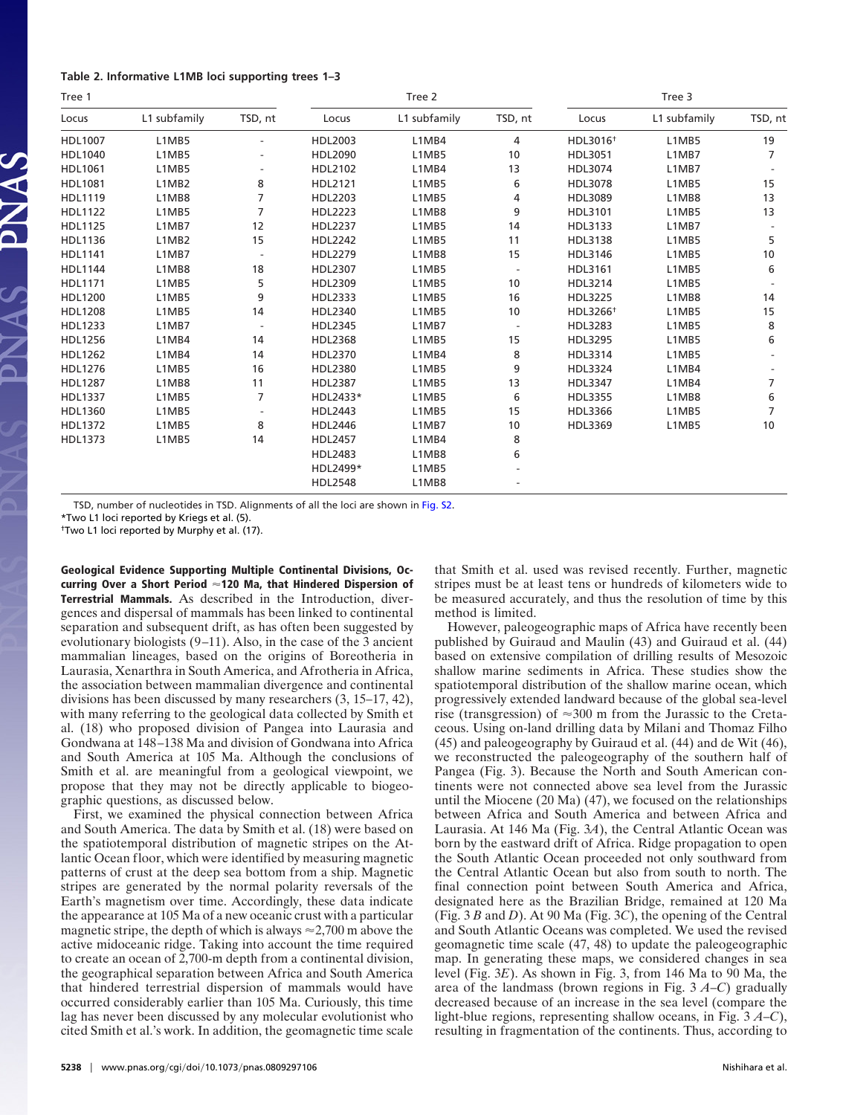#### **Table 2. Informative L1MB loci supporting trees 1–3**

| Tree 1         |              |                |                | Tree 2       |         | Tree 3               |              |         |
|----------------|--------------|----------------|----------------|--------------|---------|----------------------|--------------|---------|
| Locus          | L1 subfamily | TSD, nt        | Locus          | L1 subfamily | TSD, nt | Locus                | L1 subfamily | TSD, nt |
| <b>HDL1007</b> | L1MB5        |                | HDL2003        | L1MB4        | 4       | HDL3016 <sup>+</sup> | L1MB5        | 19      |
| HDL1040        | L1MB5        |                | HDL2090        | L1MB5        | 10      | HDL3051              | L1MB7        | 7       |
| <b>HDL1061</b> | L1MB5        |                | HDL2102        | L1MB4        | 13      | HDL3074              | L1MB7        |         |
| <b>HDL1081</b> | L1MB2        | 8              | HDL2121        | L1MB5        | 6       | HDL3078              | L1MB5        | 15      |
| <b>HDL1119</b> | L1MB8        | 7              | HDL2203        | L1MB5        | 4       | HDL3089              | L1MB8        | 13      |
| <b>HDL1122</b> | L1MB5        | $\overline{7}$ | <b>HDL2223</b> | L1MB8        | 9       | HDL3101              | L1MB5        | 13      |
| <b>HDL1125</b> | L1MB7        | 12             | <b>HDL2237</b> | L1MB5        | 14      | HDL3133              | L1MB7        |         |
| <b>HDL1136</b> | L1MB2        | 15             | <b>HDL2242</b> | L1MB5        | 11      | HDL3138              | L1MB5        | 5       |
| <b>HDL1141</b> | L1MB7        |                | <b>HDL2279</b> | L1MB8        | 15      | HDL3146              | L1MB5        | 10      |
| <b>HDL1144</b> | L1MB8        | 18             | HDL2307        | L1MB5        |         | HDL3161              | L1MB5        | 6       |
| HDL1171        | L1MB5        | 5              | HDL2309        | L1MB5        | 10      | HDL3214              | L1MB5        |         |
| <b>HDL1200</b> | L1MB5        | 9              | HDL2333        | L1MB5        | 16      | <b>HDL3225</b>       | L1MB8        | 14      |
| <b>HDL1208</b> | L1MB5        | 14             | HDL2340        | L1MB5        | 10      | HDL3266 <sup>+</sup> | L1MB5        | 15      |
| HDL1233        | L1MB7        |                | <b>HDL2345</b> | L1MB7        |         | HDL3283              | L1MB5        | 8       |
| <b>HDL1256</b> | L1MB4        | 14             | <b>HDL2368</b> | L1MB5        | 15      | <b>HDL3295</b>       | L1MB5        | 6       |
| <b>HDL1262</b> | L1MB4        | 14             | HDL2370        | L1MB4        | 8       | HDL3314              | L1MB5        |         |
| <b>HDL1276</b> | L1MB5        | 16             | HDL2380        | L1MB5        | 9       | HDL3324              | L1MB4        |         |
| <b>HDL1287</b> | L1MB8        | 11             | <b>HDL2387</b> | L1MB5        | 13      | HDL3347              | L1MB4        | 7       |
| <b>HDL1337</b> | L1MB5        | 7              | HDL2433*       | L1MB5        | 6       | HDL3355              | L1MB8        | 6       |
| HDL1360        | L1MB5        |                | <b>HDL2443</b> | L1MB5        | 15      | HDL3366              | L1MB5        | 7       |
| <b>HDL1372</b> | L1MB5        | 8              | <b>HDL2446</b> | L1MB7        | 10      | HDL3369              | L1MB5        | 10      |
| HDL1373        | L1MB5        | 14             | <b>HDL2457</b> | L1MB4        | 8       |                      |              |         |
|                |              |                | <b>HDL2483</b> | L1MB8        | 6       |                      |              |         |
|                |              |                | HDL2499*       | L1MB5        |         |                      |              |         |
|                |              |                | <b>HDL2548</b> | L1MB8        |         |                      |              |         |

TSD, number of nucleotides in TSD. Alignments of all the loci are shown in [Fig. S2.](http://www.pnas.org/cgi/data//DCSupplemental/Supplemental_PDF#nameddest=SF2)

\*Two L1 loci reported by Kriegs et al. (5).

†Two L1 loci reported by Murphy et al. (17).

**Geological Evidence Supporting Multiple Continental Divisions, Occurring Over a Short Period 120 Ma, that Hindered Dispersion of Terrestrial Mammals.** As described in the Introduction, divergences and dispersal of mammals has been linked to continental separation and subsequent drift, as has often been suggested by evolutionary biologists (9–11). Also, in the case of the 3 ancient mammalian lineages, based on the origins of Boreotheria in Laurasia, Xenarthra in South America, and Afrotheria in Africa, the association between mammalian divergence and continental divisions has been discussed by many researchers (3, 15–17, 42), with many referring to the geological data collected by Smith et al. (18) who proposed division of Pangea into Laurasia and Gondwana at 148–138 Ma and division of Gondwana into Africa and South America at 105 Ma. Although the conclusions of Smith et al. are meaningful from a geological viewpoint, we propose that they may not be directly applicable to biogeographic questions, as discussed below.

First, we examined the physical connection between Africa and South America. The data by Smith et al. (18) were based on the spatiotemporal distribution of magnetic stripes on the Atlantic Ocean floor, which were identified by measuring magnetic patterns of crust at the deep sea bottom from a ship. Magnetic stripes are generated by the normal polarity reversals of the Earth's magnetism over time. Accordingly, these data indicate the appearance at 105 Ma of a new oceanic crust with a particular magnetic stripe, the depth of which is always  $\approx$  2,700 m above the active midoceanic ridge. Taking into account the time required to create an ocean of 2,700-m depth from a continental division, the geographical separation between Africa and South America that hindered terrestrial dispersion of mammals would have occurred considerably earlier than 105 Ma. Curiously, this time lag has never been discussed by any molecular evolutionist who cited Smith et al.'s work. In addition, the geomagnetic time scale that Smith et al. used was revised recently. Further, magnetic stripes must be at least tens or hundreds of kilometers wide to be measured accurately, and thus the resolution of time by this method is limited.

However, paleogeographic maps of Africa have recently been published by Guiraud and Maulin (43) and Guiraud et al. (44) based on extensive compilation of drilling results of Mesozoic shallow marine sediments in Africa. These studies show the spatiotemporal distribution of the shallow marine ocean, which progressively extended landward because of the global sea-level rise (transgression) of  $\approx 300$  m from the Jurassic to the Cretaceous. Using on-land drilling data by Milani and Thomaz Filho (45) and paleogeography by Guiraud et al. (44) and de Wit (46), we reconstructed the paleogeography of the southern half of Pangea (Fig. 3). Because the North and South American continents were not connected above sea level from the Jurassic until the Miocene (20 Ma) (47), we focused on the relationships between Africa and South America and between Africa and Laurasia. At 146 Ma (Fig. 3*A*), the Central Atlantic Ocean was born by the eastward drift of Africa. Ridge propagation to open the South Atlantic Ocean proceeded not only southward from the Central Atlantic Ocean but also from south to north. The final connection point between South America and Africa, designated here as the Brazilian Bridge, remained at 120 Ma (Fig. 3 *B* and *D*). At 90 Ma (Fig. 3*C*), the opening of the Central and South Atlantic Oceans was completed. We used the revised geomagnetic time scale (47, 48) to update the paleogeographic map. In generating these maps, we considered changes in sea level (Fig. 3*E*). As shown in Fig. 3, from 146 Ma to 90 Ma, the area of the landmass (brown regions in Fig. 3 *A*–*C*) gradually decreased because of an increase in the sea level (compare the light-blue regions, representing shallow oceans, in Fig. 3 *A*–*C*), resulting in fragmentation of the continents. Thus, according to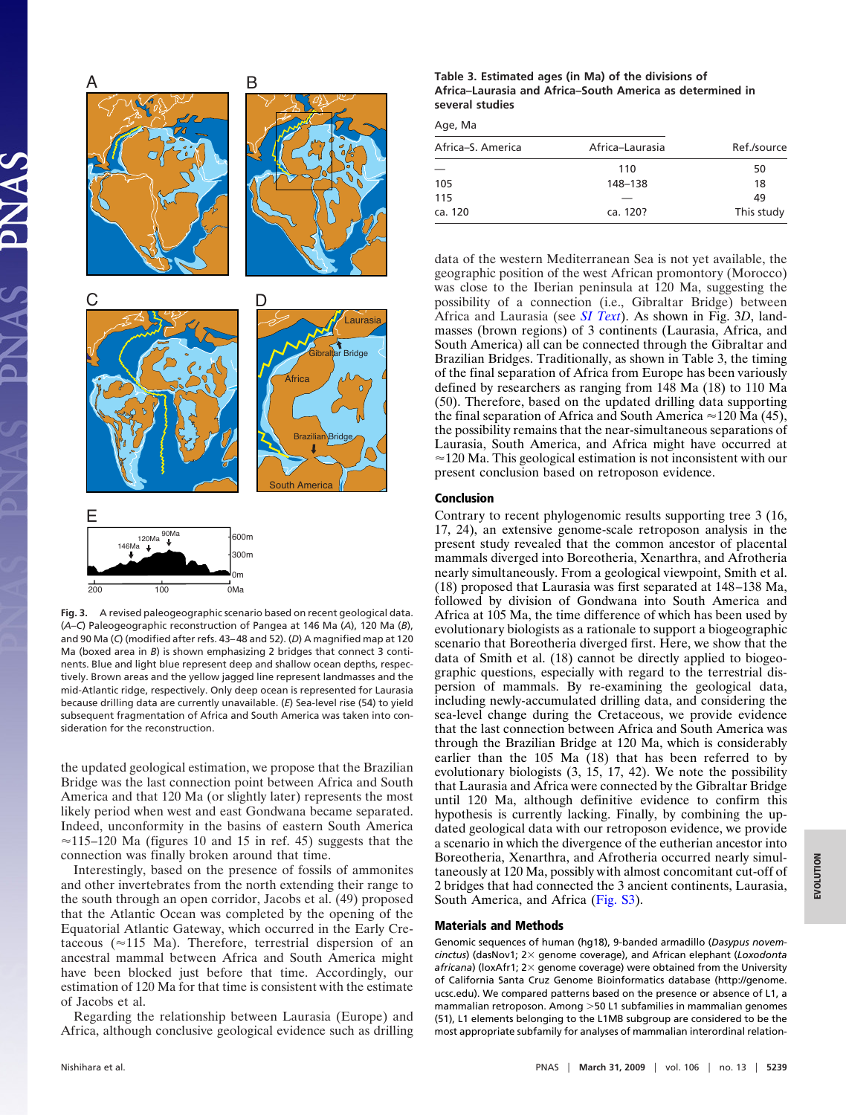

**Fig. 3.** A revised paleogeographic scenario based on recent geological data. (*A*–*C*) Paleogeographic reconstruction of Pangea at 146 Ma (*A*), 120 Ma (*B*), and 90 Ma (*C*) (modified after refs. 43– 48 and 52). (*D*) A magnified map at 120 Ma (boxed area in *B*) is shown emphasizing 2 bridges that connect 3 continents. Blue and light blue represent deep and shallow ocean depths, respectively. Brown areas and the yellow jagged line represent landmasses and the mid-Atlantic ridge, respectively. Only deep ocean is represented for Laurasia because drilling data are currently unavailable. (*E*) Sea-level rise (54) to yield subsequent fragmentation of Africa and South America was taken into consideration for the reconstruction.

the updated geological estimation, we propose that the Brazilian Bridge was the last connection point between Africa and South America and that 120 Ma (or slightly later) represents the most likely period when west and east Gondwana became separated. Indeed, unconformity in the basins of eastern South America  $\approx$ 115–120 Ma (figures 10 and 15 in ref. 45) suggests that the connection was finally broken around that time.

Interestingly, based on the presence of fossils of ammonites and other invertebrates from the north extending their range to the south through an open corridor, Jacobs et al. (49) proposed that the Atlantic Ocean was completed by the opening of the Equatorial Atlantic Gateway, which occurred in the Early Cretaceous ( $\approx$ 115 Ma). Therefore, terrestrial dispersion of an ancestral mammal between Africa and South America might have been blocked just before that time. Accordingly, our estimation of 120 Ma for that time is consistent with the estimate of Jacobs et al.

Regarding the relationship between Laurasia (Europe) and Africa, although conclusive geological evidence such as drilling

| Table 3. Estimated ages (in Ma) of the divisions of       |
|-----------------------------------------------------------|
| Africa-Laurasia and Africa-South America as determined in |
| several studies                                           |

Age, Ma

| Africa–S. America | Africa-Laurasia | Ref./source |  |  |
|-------------------|-----------------|-------------|--|--|
|                   | 110             | 50          |  |  |
| 105               | 148-138         | 18          |  |  |
| 115               |                 | 49          |  |  |
| ca. 120           | ca. 120?        | This study  |  |  |

data of the western Mediterranean Sea is not yet available, the geographic position of the west African promontory (Morocco) was close to the Iberian peninsula at 120 Ma, suggesting the possibility of a connection (i.e., Gibraltar Bridge) between Africa and Laurasia (see *[SI Text](http://www.pnas.org/cgi/data/0809297106/DCSupplemental/Supplemental_PDF#nameddest=STXT)*). As shown in Fig. 3*D*, landmasses (brown regions) of 3 continents (Laurasia, Africa, and South America) all can be connected through the Gibraltar and Brazilian Bridges. Traditionally, as shown in Table 3, the timing of the final separation of Africa from Europe has been variously defined by researchers as ranging from 148 Ma (18) to 110 Ma (50). Therefore, based on the updated drilling data supporting the final separation of Africa and South America  $\approx$  120 Ma (45), the possibility remains that the near-simultaneous separations of Laurasia, South America, and Africa might have occurred at  $\approx$  120 Ma. This geological estimation is not inconsistent with our present conclusion based on retroposon evidence.

## **Conclusion**

Contrary to recent phylogenomic results supporting tree 3 (16, 17, 24), an extensive genome-scale retroposon analysis in the present study revealed that the common ancestor of placental mammals diverged into Boreotheria, Xenarthra, and Afrotheria nearly simultaneously. From a geological viewpoint, Smith et al. (18) proposed that Laurasia was first separated at 148–138 Ma, followed by division of Gondwana into South America and Africa at 105 Ma, the time difference of which has been used by evolutionary biologists as a rationale to support a biogeographic scenario that Boreotheria diverged first. Here, we show that the data of Smith et al. (18) cannot be directly applied to biogeographic questions, especially with regard to the terrestrial dispersion of mammals. By re-examining the geological data, including newly-accumulated drilling data, and considering the sea-level change during the Cretaceous, we provide evidence that the last connection between Africa and South America was through the Brazilian Bridge at 120 Ma, which is considerably earlier than the 105 Ma (18) that has been referred to by evolutionary biologists (3, 15, 17, 42). We note the possibility that Laurasia and Africa were connected by the Gibraltar Bridge until 120 Ma, although definitive evidence to confirm this hypothesis is currently lacking. Finally, by combining the updated geological data with our retroposon evidence, we provide a scenario in which the divergence of the eutherian ancestor into Boreotheria, Xenarthra, and Afrotheria occurred nearly simultaneously at 120 Ma, possibly with almost concomitant cut-off of 2 bridges that had connected the 3 ancient continents, Laurasia, South America, and Africa [\(Fig. S3\)](http://www.pnas.org/cgi/data/0809297106/DCSupplemental/Supplemental_PDF#nameddest=SF3).

#### **Materials and Methods**

Genomic sequences of human (hg18), 9-banded armadillo (*Dasypus novemcinctus*) (dasNov1; 2× genome coverage), and African elephant (*Loxodonta* africana) (loxAfr1; 2× genome coverage) were obtained from the University of California Santa Cruz Genome Bioinformatics database (http://genome. ucsc.edu). We compared patterns based on the presence or absence of L1, a mammalian retroposon. Among 50 L1 subfamilies in mammalian genomes (51), L1 elements belonging to the L1MB subgroup are considered to be the most appropriate subfamily for analyses of mammalian interordinal relation